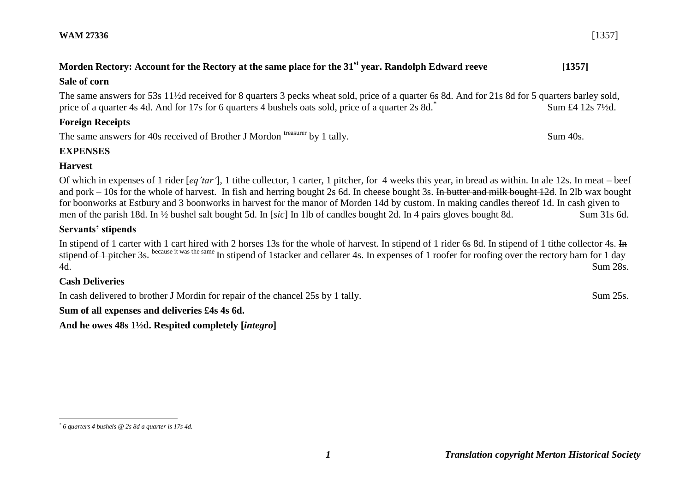# **Morden Rectory: Account for the Rectory at the same place for the 31<sup>st</sup> year. Randolph Edward reeve [1357]**

#### **Sale of corn**

The same answers for 53s 11½d received for 8 quarters 3 pecks wheat sold, price of a quarter 6s 8d. And for 21s 8d for 5 quarters barley sold, price of a quarter 4s 4d. And for 17s for 6 quarters 4 bushels oats sold, price of a quarter 2s 8d.<sup>\*</sup> Sum £4 12s 7½d.

## **Foreign Receipts**

The same answers for 40s received of Brother J Mordon treasurer by 1 tally. Sum 40s.

## **EXPENSES**

### **Harvest**

Of which in expenses of 1 rider [*eq'tar'*], 1 tithe collector, 1 carter, 1 pitcher, for 4 weeks this year, in bread as within. In ale 12s. In meat – beef and pork – 10s for the whole of harvest. In fish and herring bought 2s 6d. In cheese bought 3s. In butter and milk bought 12d. In 2lb wax bought for boonworks at Estbury and 3 boonworks in harvest for the manor of Morden 14d by custom. In making candles thereof 1d. In cash given to men of the parish 18d. In ½ bushel salt bought 5d. In [*sic*] In 1lb of candles bought 2d. In 4 pairs gloves bought 8d. Sum 31s 6d.

## **Servants' stipends**

In stipend of 1 carter with 1 cart hired with 2 horses 13s for the whole of harvest. In stipend of 1 rider 6s 8d. In stipend of 1 tithe collector 4s. In stipend of 1 pitcher 3s. because it was the same In stipend of 1stacker and cellarer 4s. In expenses of 1 roofer for roofing over the rectory barn for 1 day 4d. Sum 28s.

## **Cash Deliveries**

In cash delivered to brother J Mordin for repair of the chancel 25s by 1 tally. Sum 25s.

**Sum of all expenses and deliveries £4s 4s 6d.** 

**And he owes 48s 1½d. Respited completely [***integro***]**

*1 Translation copyright Merton Historical Society*

<sup>&</sup>lt;u>.</u> *\* 6 quarters 4 bushels @ 2s 8d a quarter is 17s 4d.*